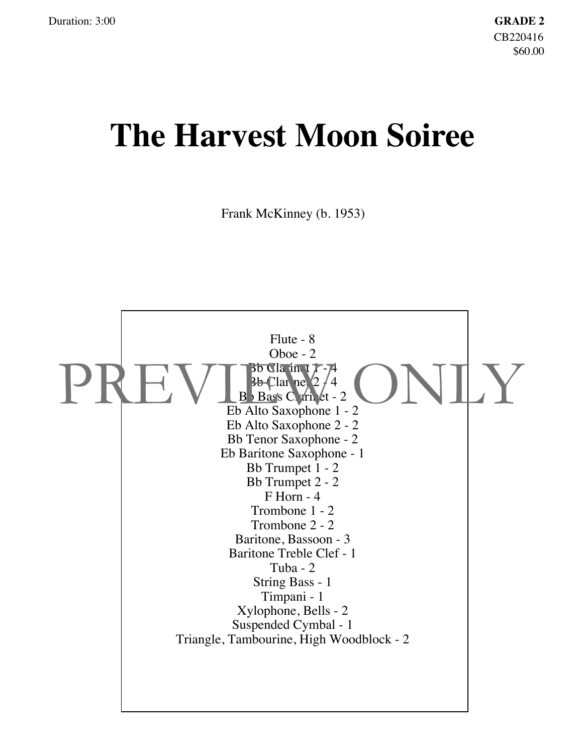## **The Harvest Moon Soiree**

Frank McKinney (b. 1953)

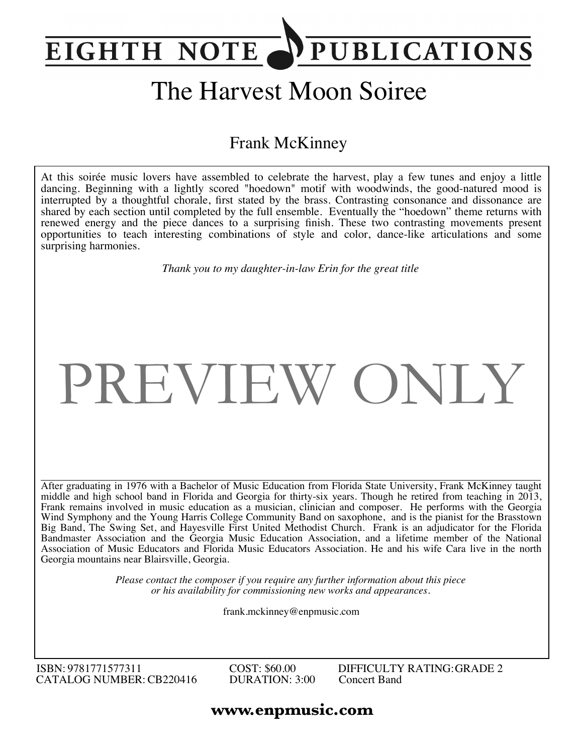#### **PUBLICATIONS EIGHTH NOTE**

### The Harvest Moon Soiree

#### Frank McKinney

At this soirée music lovers have assembled to celebrate the harvest, play a few tunes and enjoy a little dancing. Beginning with a lightly scored "hoedown" motif with woodwinds, the good-natured mood is interrupted by a thoughtful chorale, first stated by the brass. Contrasting consonance and dissonance are shared by each section until completed by the full ensemble. Eventually the "hoedown" theme returns with renewed energy and the piece dances to a surprising finish. These two contrasting movements present opportunities to teach interesting combinations of style and color, dance-like articulations and some surprising harmonies.

*Thank you to my daughter-in-law Erin for the great title*

# PREVIEW ONLY

After graduating in 1976 with a Bachelor of Music Education from Florida State University, Frank McKinney taught middle and high school band in Florida and Georgia for thirty-six years. Though he retired from teaching in 2013, Frank remains involved in music education as a musician, clinician and composer. He performs with the Georgia Wind Symphony and the Young Harris College Community Band on saxophone, and is the pianist for the Brasstown Big Band, The Swing Set, and Hayesville First United Methodist Church. Frank is an adjudicator for the Florida Bandmaster Association and the Georgia Music Education Association, and a lifetime member of the National Association of Music Educators and Florida Music Educators Association. He and his wife Cara live in the north Georgia mountains near Blairsville, Georgia.

> *Please contact the composer if you require any further information about this piece or his availability for commissioning new works and appearances.*

> > frank.mckinney@enpmusic.com

ISBN: 9781771577311 CATALOG NUMBER:CB220416 COST: \$60.00 DURATION: 3:00 DIFFICULTY RATING:GRADE 2 Concert Band

#### **www.enpmusic.com**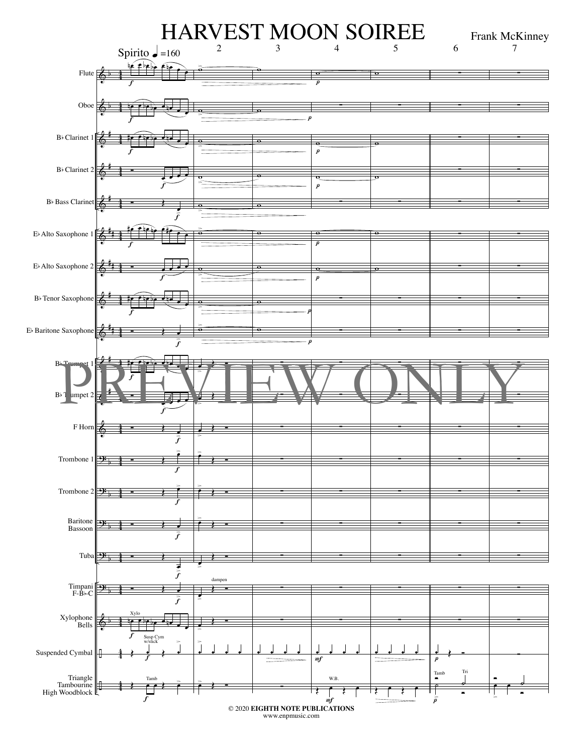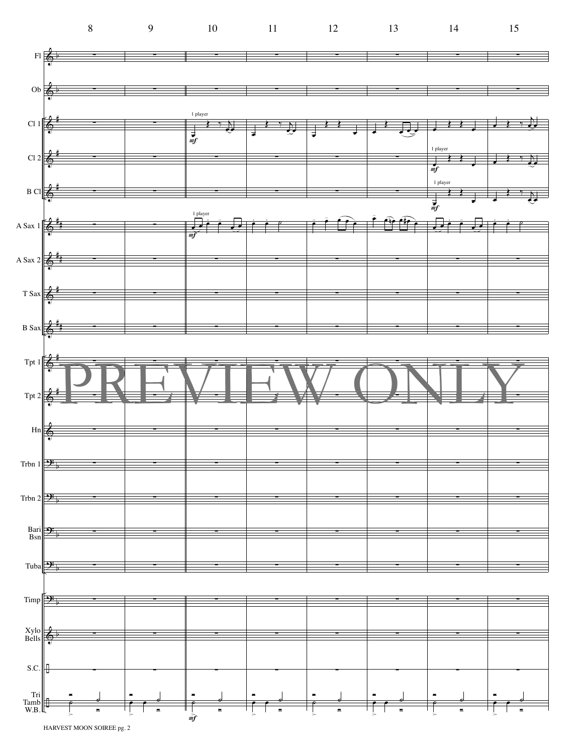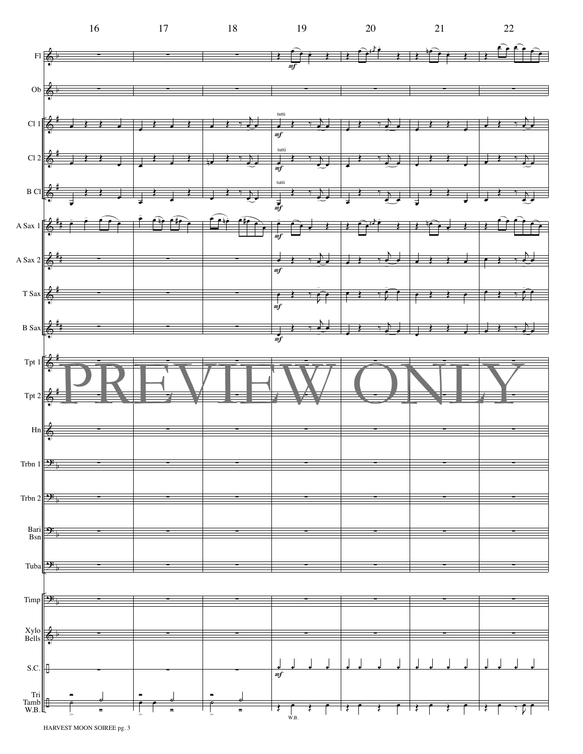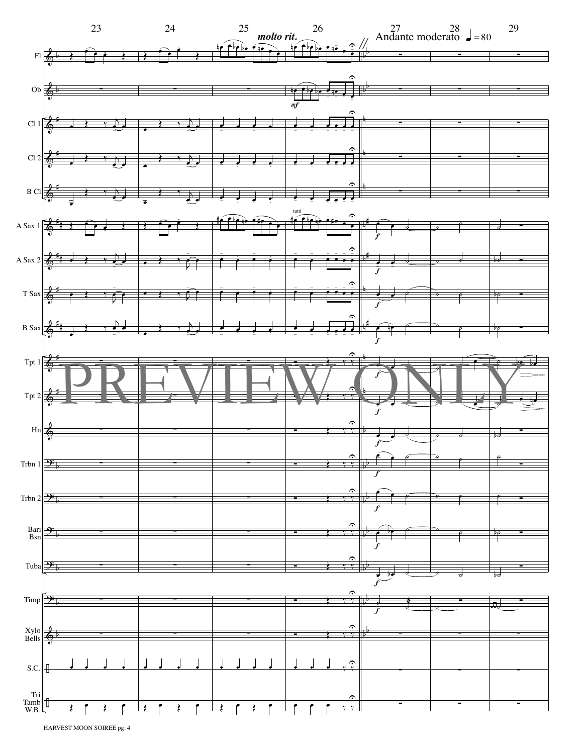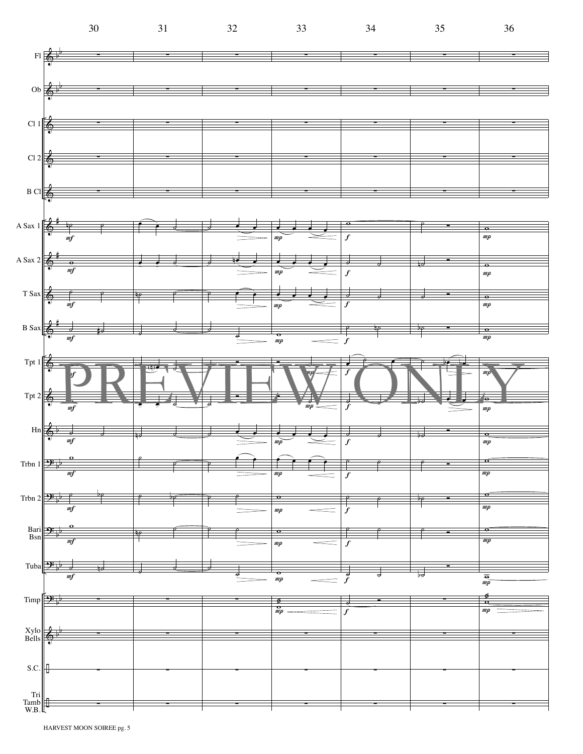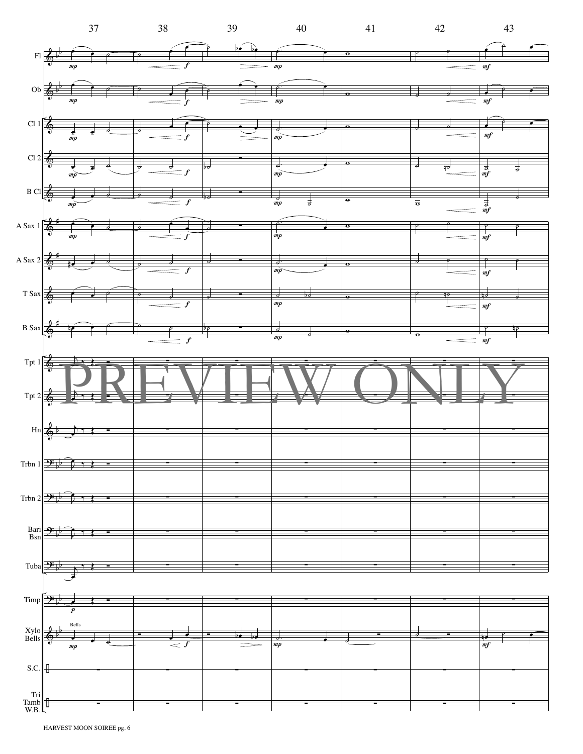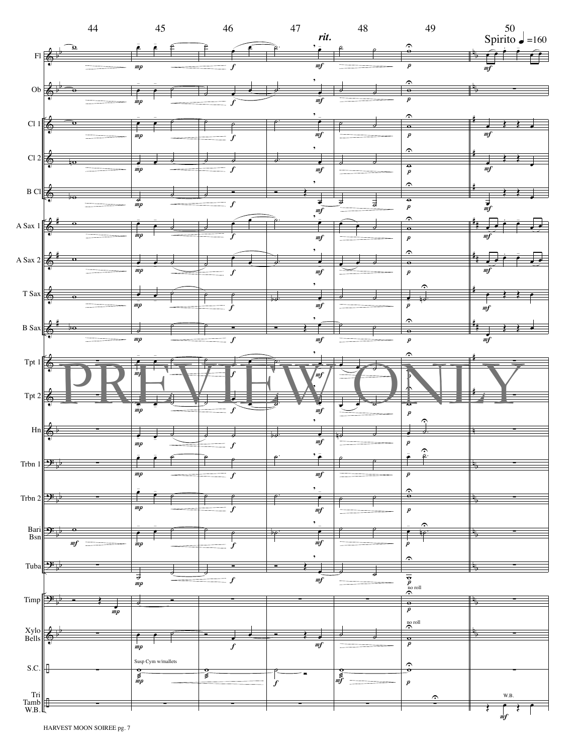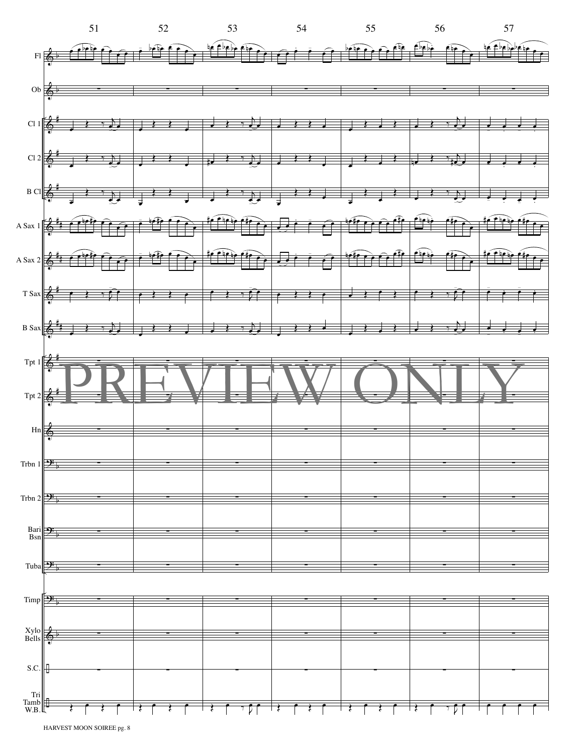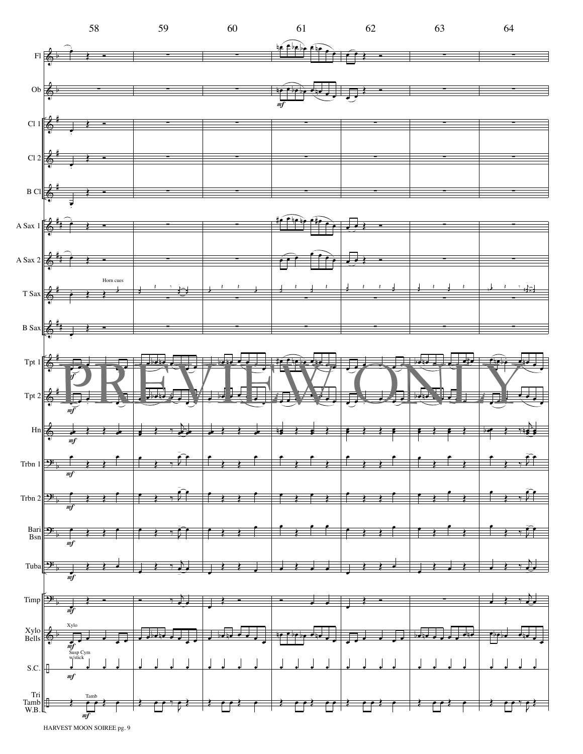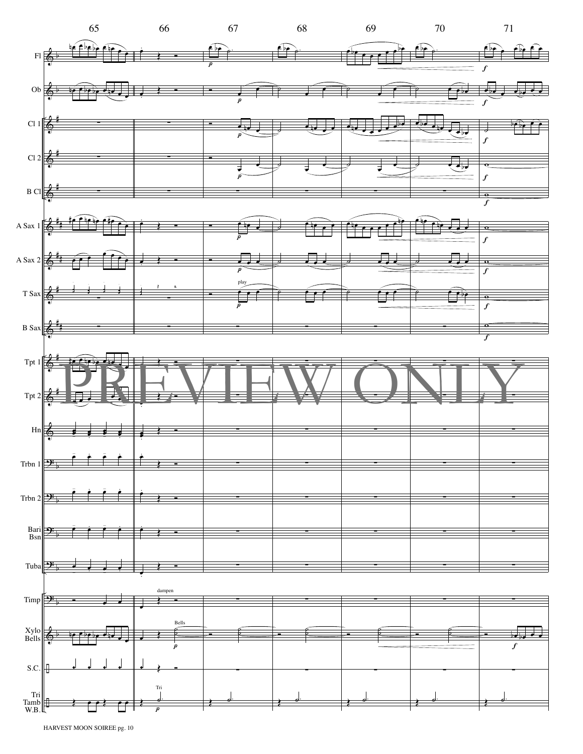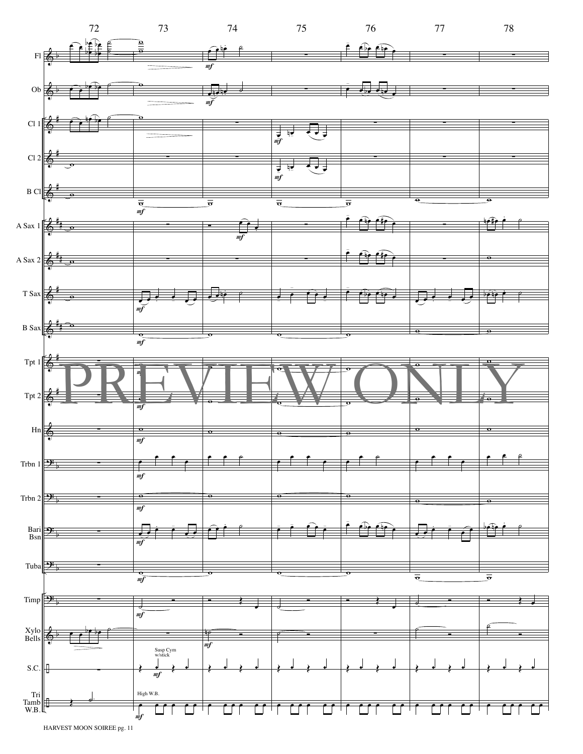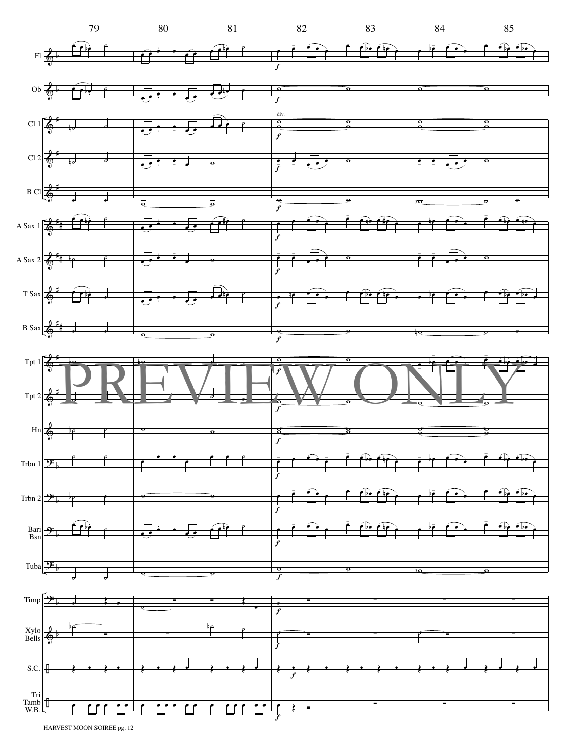